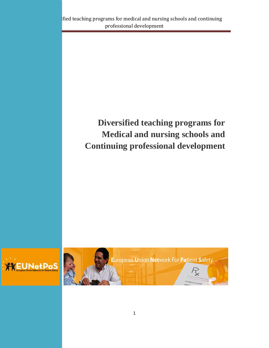# **Diversified teaching programs for Medical and nursing schools and Continuing professional development**



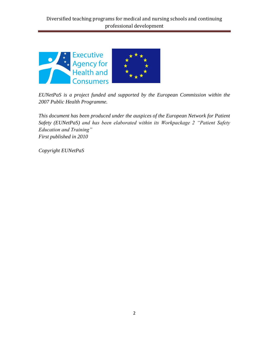

*EUNetPaS is a project funded and supported by the European Commission within the 2007 Public Health Programme.*

*This document has been produced under the auspices of the European Network for Patient Safety (EUNetPaS) and has been elaborated within its Workpackage 2 "Patient Safety Education and Training" First published in 2010*

*Copyright EUNetPaS*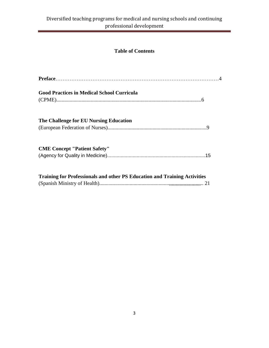# **Table of Contents**

| <b>Good Practices in Medical School Curricula</b>                         |  |
|---------------------------------------------------------------------------|--|
| The Challenge for EU Nursing Education                                    |  |
| <b>CME Concept "Patient Safety"</b>                                       |  |
| Training for Professionals and other PS Education and Training Activities |  |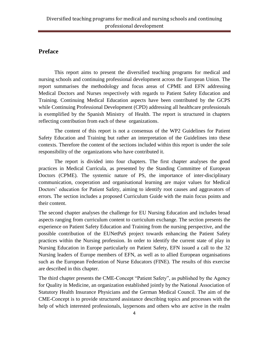# **Preface**

This report aims to present the diversified teaching programs for medical and nursing schools and continuing professional development across the European Union. The report summarises the methodology and focus areas of CPME and EFN addressing Medical Doctors and Nurses respectively with regards to Patient Safety Education and Training. Continuing Medical Education aspects have been contributed by the GCPS while Continuing Professional Development (CPD) addressing all healthcare professionals is exemplified by the Spanish Ministry of Health. The report is structured in chapters reflecting contribution from each of these organizations.

The content of this report is not a consensus of the WP2 Guidelines for Patient Safety Education and Training but rather an interpretation of the Guidelines into these contexts. Therefore the content of the sections included within this report is under the sole responsibility of the organizations who have contributed it.

The report is divided into four chapters. The first chapter analyses the good practices in Medical Curricula, as presented by the Standing Committee of European Doctors (CPME). The systemic nature of PS, the importance of inter-disciplinary communication, cooperation and organisational learning are major values for Medical Doctors' education for Patient Safety, aiming to identify root causes and aggravators of errors. The section includes a proposed Curriculum Guide with the main focus points and their content.

The second chapter analyses the challenge for EU Nursing Education and includes broad aspects ranging from curriculum content to curriculum exchange. The section presents the experience on Patient Safety Education and Training from the nursing perspective, and the possible contribution of the EUNetPaS project towards enhancing the Patient Safety practices within the Nursing profession. In order to identify the current state of play in Nursing Education in Europe particularly on Patient Safety, EFN issued a call to the 32 Nursing leaders of Europe members of EFN, as well as to allied European organisations such as the European Federation of Nurse Educators (FINE). The results of this exercise are described in this chapter.

The third chapter presents the CME-Concept "Patient Safety", as published by the Agency for Quality in Medicine, an organization established jointly by the National Association of Statutory Health Insurance Physicians and the German Medical Council. The aim of the CME-Concept is to provide structured assistance describing topics and processes with the help of which interested professionals, laypersons and others who are active in the realm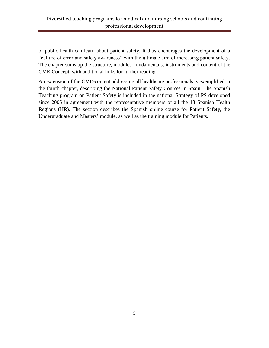of public health can learn about patient safety. It thus encourages the development of a "culture of error and safety awareness" with the ultimate aim of increasing patient safety. The chapter sums up the structure, modules, fundamentals, instruments and content of the CME-Concept, with additional links for further reading.

An extension of the CME-content addressing all healthcare professionals is exemplified in the fourth chapter, describing the National Patient Safety Courses in Spain. The Spanish Teaching program on Patient Safety is included in the national Strategy of PS developed since 2005 in agreement with the representative members of all the 18 Spanish Health Regions (HR). The section describes the Spanish online course for Patient Safety, the Undergraduate and Masters' module, as well as the training module for Patients.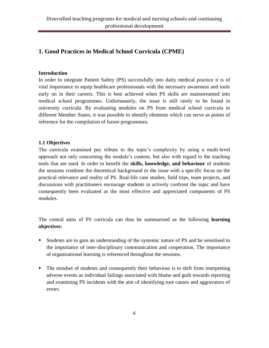# **1. Good Practices in Medical School Curricula (CPME)**

# **Introduction**

In order to integrate Patient Safety (PS) successfully into daily medical practice it is of vital importance to equip healthcare professionals with the necessary awareness and tools early on in their careers. This is best achieved when PS skills are mainstreamed into medical school programmes. Unfortunately, the issue is still rarely to be found in university curricula. By evaluating modules on PS from medical school curricula in different Member States, it was possible to identify elements which can serve as points of reference for the compilation of future programmes.

# **1.1 Objectives**

The curricula examined pay tribute to the topic's complexity by using a multi-level approach not only concerning the module's content, but also with regard to the teaching tools that are used. In order to benefit the **skills, knowledge, and behaviour** of students the sessions combine the theoretical background to the issue with a specific focus on the practical relevance and reality of PS. Real-life case studies, field trips, team projects, and discussions with practitioners encourage students to actively confront the topic and have consequently been evaluated as the most effective and appreciated components of PS modules.

The central aims of PS curricula can thus be summarised as the following **learning objectives**:

- Students are to gain an understanding of the systemic nature of PS and be sensitised to the importance of inter-disciplinary communication and cooperation. The importance of organisational learning is referenced throughout the sessions.
- The mindset of students and consequently their behaviour is to shift from interpreting adverse events as individual failings associated with blame and guilt towards reporting and examining PS incidents with the aim of identifying root causes and aggravators of errors.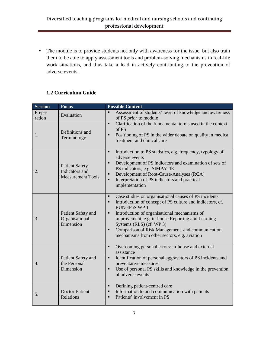The module is to provide students not only with awareness for the issue, but also train them to be able to apply assessment tools and problem-solving mechanisms in real-life work situations, and thus take a lead in actively contributing to the prevention of adverse events.

# **1.2 Curriculum Guide**

| <b>Session</b>   | <b>Focus</b>                                                        | <b>Possible Content</b>                                                                                                                                                                                                                                                                                                                                                                                                                               |
|------------------|---------------------------------------------------------------------|-------------------------------------------------------------------------------------------------------------------------------------------------------------------------------------------------------------------------------------------------------------------------------------------------------------------------------------------------------------------------------------------------------------------------------------------------------|
| Prepa-<br>ration | Evaluation                                                          | Assessment of students' level of knowledge and awareness<br>$\blacksquare$<br>of PS prior to module                                                                                                                                                                                                                                                                                                                                                   |
| 1.               | Definitions and<br>Terminology                                      | Clarification of the fundamental terms used in the context<br>$\blacksquare$<br>of PS<br>Positioning of PS in the wider debate on quality in medical<br>$\blacksquare$<br>treatment and clinical care                                                                                                                                                                                                                                                 |
| 2.               | <b>Patient Safety</b><br>Indicators and<br><b>Measurement Tools</b> | Introduction to PS statistics, e.g. frequency, typology of<br>٠<br>adverse events<br>Development of PS indicators and examination of sets of<br>$\blacksquare$<br>PS indicators, e.g. SIMPATIE<br>Development of Root-Cause-Analyses (RCA)<br>٠<br>Interpretation of PS indicators and practical<br>$\blacksquare$<br>implementation                                                                                                                  |
| 3.               | Patient Safety and<br>Organisational<br>Dimension                   | Case studies on organisational causes of PS incidents<br>$\blacksquare$<br>Introduction of concept of PS culture and indicators, cf.<br>$\blacksquare$<br><b>EUNetPaS WP1</b><br>Introduction of organisational mechanisms of<br>$\blacksquare$<br>improvement, e.g. in-house Reporting and Learning<br>Systems (RLS) (cf. WP 3)<br>Comparison of Risk Management and communication<br>$\blacksquare$<br>mechanisms from other sectors, e.g. aviation |
| $\overline{4}$ . | Patient Safety and<br>the Personal<br>Dimension                     | Overcoming personal errors: in-house and external<br>٠<br>assistance<br>Identification of personal aggravators of PS incidents and<br>٠<br>preventative measures<br>Use of personal PS skills and knowledge in the prevention<br>Ξ<br>of adverse events                                                                                                                                                                                               |
| 5.               | Doctor-Patient<br>Relations                                         | Defining patient-centred care<br>$\blacksquare$<br>Information to and communication with patients<br>$\blacksquare$<br>Patients' involvement in PS<br>$\blacksquare$                                                                                                                                                                                                                                                                                  |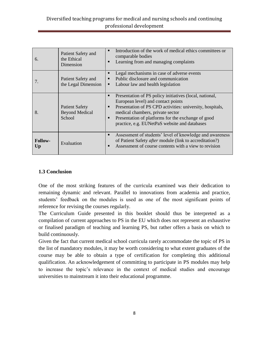| 6.                   | Patient Safety and<br>the Ethical<br>Dimension           | Introduction of the work of medical ethics committees or<br>$\blacksquare$<br>comparable bodies<br>Learning from and managing complaints<br>■                                                                                                                                                                                     |  |
|----------------------|----------------------------------------------------------|-----------------------------------------------------------------------------------------------------------------------------------------------------------------------------------------------------------------------------------------------------------------------------------------------------------------------------------|--|
| 7.                   | Patient Safety and<br>the Legal Dimension                | Legal mechanisms in case of adverse events<br>■<br>Public disclosure and communication<br>■<br>Labour law and health legislation<br>п                                                                                                                                                                                             |  |
| 8.                   | <b>Patient Safety</b><br><b>Beyond Medical</b><br>School | Presentation of PS policy initiatives (local, national,<br>$\blacksquare$<br>European level) and contact points<br>Presentation of PS CPD activities: university, hospitals,<br>п<br>medical chambers, private sector<br>Presentation of platforms for the exchange of good<br>■<br>practice, e.g. EUNetPaS website and databases |  |
| <b>Follow-</b><br>Up | Evaluation                                               | Assessment of students' level of knowledge and awareness<br>$\blacksquare$<br>of Patient Safety after module (link to accreditation?)<br>Assessment of course contents with a view to revision<br>$\blacksquare$                                                                                                                  |  |

# **1.3 Conclusion**

One of the most striking features of the curricula examined was their dedication to remaining dynamic and relevant. Parallel to innovations from academia and practice, students' feedback on the modules is used as one of the most significant points of reference for revising the courses regularly.

The Curriculum Guide presented in this booklet should thus be interpreted as a compilation of current approaches to PS in the EU which does not represent an exhaustive or finalised paradigm of teaching and learning PS, but rather offers a basis on which to build continuously.

Given the fact that current medical school curricula rarely accommodate the topic of PS in the list of mandatory modules, it may be worth considering to what extent graduates of the course may be able to obtain a type of certification for completing this additional qualification. An acknowledgement of committing to participate in PS modules may help to increase the topic's relevance in the context of medical studies and encourage universities to mainstream it into their educational programme.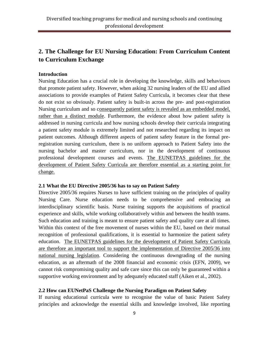# **2. The Challenge for EU Nursing Education: From Curriculum Content to Curriculum Exchange**

#### **Introduction**

Nursing Education has a crucial role in developing the knowledge, skills and behaviours that promote patient safety. However, when asking 32 nursing leaders of the EU and allied associations to provide examples of Patient Safety Curricula, it becomes clear that these do not exist so obviously. Patient safety is built-in across the pre- and post-registration Nursing curriculum and so consequently patient safety is revealed as an embedded model, rather than a distinct module. Furthermore, the evidence about how patient safety is addressed in nursing curricula and how nursing schools develop their curricula integrating a patient safety module is extremely limited and not researched regarding its impact on patient outcomes. Although different aspects of patient safety feature in the formal preregistration nursing curriculum, there is no uniform approach to Patient Safety into the nursing bachelor and master curriculum, nor in the development of continuous professional development courses and events. The EUNETPAS guidelines for the development of Patient Safety Curricula are therefore essential as a starting point for change.

#### **2.1 What the EU Directive 2005/36 has to say on Patient Safety**

Directive 2005/36 requires Nurses to have sufficient training on the principles of quality Nursing Care. Nurse education needs to be comprehensive and embracing an interdisciplinary scientific basis. Nurse training supports the acquisitions of practical experience and skills, while working collaboratively within and between the health teams. Such education and training is meant to ensure patient safety and quality care at all times. Within this context of the free movement of nurses within the EU, based on their mutual recognition of professional qualifications, it is essential to harmonize the patient safety education. The EUNETPAS guidelines for the development of Patient Safety Curricula are therefore an important tool to support the implementation of Directive 2005/36 into national nursing legislation. Considering the continuous downgrading of the nursing education, as an aftermath of the 2008 financial and economic crisis (EFN, 2009), we cannot risk compromising quality and safe care since this can only be guaranteed within a supportive working environment and by adequately educated staff (Aiken et al., 2002).

# **2.2 How can EUNetPaS Challenge the Nursing Paradigm on Patient Safety**

If nursing educational curricula were to recognise the value of basic Patient Safety principles and acknowledge the essential skills and knowledge involved, like reporting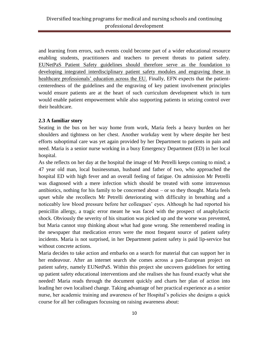and learning from errors, such events could become part of a wider educational resource enabling students, practitioners and teachers to prevent threats to patient safety. EUNetPaS Patient Safety guidelines should therefore serve as the foundation to developing integrated interdisciplinary patient safety modules and engraving these in healthcare professionals' education across the EU. Finally, EFN expects that the patientcenteredness of the guidelines and the engraving of key patient involvement principles would ensure patients are at the heart of such curriculum development which in turn would enable patient empowerment while also supporting patients in seizing control over their healthcare.

#### **2.3 A familiar story**

Seating in the bus on her way home from work, Maria feels a heavy burden on her shoulders and tightness on her chest. Another workday went by where despite her best efforts suboptimal care was yet again provided by her Department to patients in pain and need. Maria is a senior nurse working in a busy Emergency Department (ED) in her local hospital.

As she reflects on her day at the hospital the image of Mr Petrelli keeps coming to mind; a 47 year old man, local businessman, husband and father of two, who approached the hospital ED with high fever and an overall feeling of fatigue. On admission Mr Petrelli was diagnosed with a mere infection which should be treated with some intravenous antibiotics, nothing for his family to be concerned about – or so they thought. Maria feels upset while she recollects Mr Petrelli deteriorating with difficulty in breathing and a noticeably low blood pressure before her colleagues' eyes. Although he had reported his penicillin allergy, a tragic error meant he was faced with the prospect of anaphylactic shock. Obviously the severity of his situation was picked up and the worse was prevented, but Maria cannot stop thinking about what had gone wrong. She remembered reading in the newspaper that medication errors were the most frequent source of patient safety incidents. Maria is not surprised, in her Department patient safety is paid lip-service but without concrete actions.

Maria decides to take action and embarks on a search for material that can support her in her endeavour. After an internet search she comes across a pan-European project on patient safety, namely EUNetPaS. Within this project she uncovers guidelines for setting up patient safety educational interventions and she realises she has found exactly what she needed! Maria reads through the document quickly and charts her plan of action into leading her own localised change. Taking advantage of her practical experience as a senior nurse, her academic training and awareness of her Hospital's policies she designs a quick course for all her colleagues focussing on raising awareness about: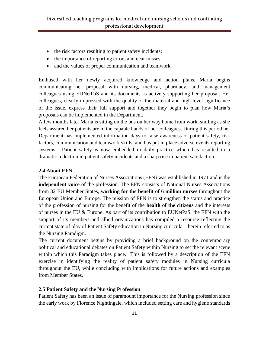- the risk factors resulting to patient safety incidents;
- the importance of reporting errors and near misses;
- and the values of proper communication and teamwork.

Enthused with her newly acquired knowledge and action plans, Maria begins communicating her proposal with nursing, medical, pharmacy, and management colleagues using EUNetPaS and its documents as actively supporting her proposal. Her colleagues, clearly impressed with the quality of the material and high level significance of the issue, express their full support and together they begin to plan how Maria's proposals can be implemented in the Department.

A few months later Maria is sitting on the bus on her way home from work, smiling as she feels assured her patients are in the capable hands of her colleagues. During this period her Department has implemented information days to raise awareness of patient safety, risk factors, communication and teamwork skills, and has put in place adverse events reporting systems. Patient safety is now embedded in daily practice which has resulted in a dramatic reduction in patient safety incidents and a sharp rise in patient satisfaction.

# **2.4 About EFN**

The [European Federation of Nurses Associations \(EFN\)](http://www.efnweb.eu/) was established in 1971 and is the **independent voice** of the profession. The EFN consists of National Nurses Associations from 32 EU Member States, **working for the benefit of 6 million nurses** throughout the European Union and Europe. The mission of EFN is to strengthen the status and practice of the profession of nursing for the benefit of the **health of the citizens** and the interests of nurses in the EU & Europe. As part of its contribution to EUNetPaS, the EFN with the support of its members and allied organizations has compiled a resource reflecting the current state of play of Patient Safety education in Nursing curricula – herein referred to as the Nursing Paradigm.

The current document begins by providing a brief background on the contemporary political and educational debates on Patient Safety within Nursing to set the relevant scene within which this Paradigm takes place. This is followed by a description of the EFN exercise in identifying the reality of patient safety modules in Nursing curricula throughout the EU, while concluding with implications for future actions and examples from Member States.

# **2.5 Patient Safety and the Nursing Profession**

Patient Safety has been an issue of paramount importance for the Nursing profession since the early work by Florence Nightingale, which included setting care and hygiene standards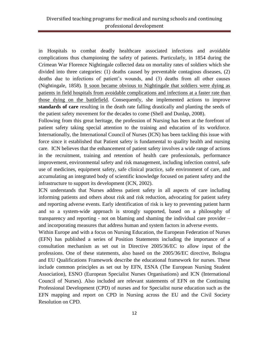in Hospitals to combat deadly healthcare associated infections and avoidable complications thus championing the safety of patients. Particularly, in 1854 during the Crimean War Florence Nightingale collected data on mortality rates of soldiers which she divided into three categories: (1) deaths caused by preventable contagious diseases, (2) deaths due to infections of patient's wounds, and (3) deaths from all other causes (Nightingale, 1858). It soon became obvious to Nightingale that soldiers were dying as patients in field hospitals from avoidable complications and infections at a faster rate than those dying on the battlefield. Consequently, she implemented actions to improve **standards of care** resulting in the death rate falling drastically and planting the seeds of the patient safety movement for the decades to come (Shell and Dunlap, 2008).

Following from this great heritage, the profession of Nursing has been at the forefront of patient safety taking special attention to the training and education of its workforce. Internationally, the International Council of Nurses (ICN) has been tackling this issue with force since it established that Patient safety is fundamental to quality health and nursing care. ICN believes that the enhancement of patient safety involves a wide range of actions in the recruitment, training and retention of health care professionals, performance improvement, environmental safety and risk management, including infection control, safe use of medicines, equipment safety, safe clinical practice, safe environment of care, and accumulating an integrated body of scientific knowledge focused on patient safety and the infrastructure to support its development (ICN, 2002).

ICN understands that Nurses address patient safety in all aspects of care including informing patients and others about risk and risk reduction, advocating for patient safety and reporting adverse events. Early identification of risk is key to preventing patient harm and so a system-wide approach is strongly supported, based on a philosophy of transparency and reporting - not on blaming and shaming the individual care provider – and incorporating measures that address human and system factors in adverse events.

Within Europe and with a focus on Nursing Education, the European Federation of Nurses (EFN) has published a series of Position Statements including the importance of a consultation mechanism as set out in Directive 2005/36/EC to allow input of the professions. One of these statements, also based on the 2005/36/EC directive, Bologna and EU Qualifications Framework describe the educational framework for nurses. These include common principles as set out by EFN, ESNA (The European Nursing Student Association), ESNO (European Specialist Nurses Organisations) and ICN (International Council of Nurses). Also included are relevant statements of EFN on the Continuing Professional Development (CPD) of nurses and for Specialist nurse education such as the EFN mapping and report on CPD in Nursing across the EU and the Civil Society Resolution on CPD.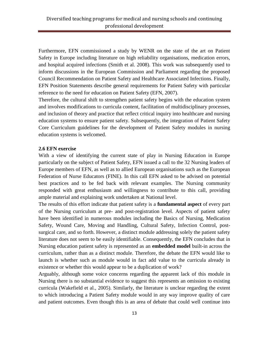Furthermore, EFN commissioned a study by WENR on the state of the art on Patient Safety in Europe including literature on high reliability organisations, medication errors, and hospital acquired infections (Smith et al. 2008). This work was subsequently used to inform discussions in the European Commission and Parliament regarding the proposed Council Recommendation on Patient Safety and Healthcare Associated Infections. Finally, EFN Position Statements describe general requirements for Patient Safety with particular reference to the need for education on Patient Safety (EFN, 2007).

Therefore, the cultural shift to strengthen patient safety begins with the education system and involves modifications to curricula content, facilitation of multidisciplinary processes, and inclusion of theory and practice that reflect critical inquiry into healthcare and nursing education systems to ensure patient safety. Subsequently, the integration of Patient Safety Core Curriculum guidelines for the development of Patient Safety modules in nursing education systems is welcomed.

#### **2.6 EFN exercise**

With a view of identifying the current state of play in Nursing Education in Europe particularly on the subject of Patient Safety, EFN issued a call to the 32 Nursing leaders of Europe members of EFN, as well as to allied European organisations such as the European Federation of Nurse Educators (FINE). In this call EFN asked to be advised on potential best practices and to be fed back with relevant examples. The Nursing community responded with great enthusiasm and willingness to contribute to this call, providing ample material and explaining work undertaken at National level.

The results of this effort indicate that patient safety is a **fundamental aspect** of every part of the Nursing curriculum at pre- and post-registration level. Aspects of patient safety have been identified in numerous modules including the Basics of Nursing, Medication Safety, Wound Care, Moving and Handling, Cultural Safety, Infection Control, postsurgical care, and so forth. However, a distinct module addressing solely the patient safety literature does not seem to be easily identifiable. Consequently, the EFN concludes that in Nursing education patient safety is represented as an **embedded model** built-in across the curriculum, rather than as a distinct module. Therefore, the debate the EFN would like to launch is whether such as module would in fact add value to the curricula already in existence or whether this would appear to be a duplication of work?

Arguably, although some voice concerns regarding the apparent lack of this module in Nursing there is no substantial evidence to suggest this represents an omission to existing curricula (Wakefield et al., 2005). Similarly, the literature is unclear regarding the extent to which introducing a Patient Safety module would in any way improve quality of care and patient outcomes. Even though this is an area of debate that could well continue into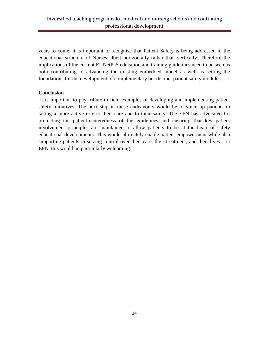years to come, it is important to recognise that Patient Safety is being addressed in the educational structure of Nurses albeit horizontally rather than vertically. Therefore the implications of the current EUNetPaS education and training guidelines need to be seen as both contributing to advancing the existing embedded model as well as setting the foundations for the development of complementary but distinct patient safety modules.

# **Conclusion**

It is important to pay tribute to field examples of developing and implementing patient safety initiatives. The next step in these endeavours would be to voice up patients in taking a more active role to their care and to their safety. The EFN has advocated for protecting the patient-centeredness of the guidelines and ensuring that key patient involvement principles are maintained to allow patients to be at the heart of safety educational developments. This would ultimately enable patient empowerment while also supporting patients in seizing control over their care, their treatment, and their lives – to EFN, this would be particularly welcoming.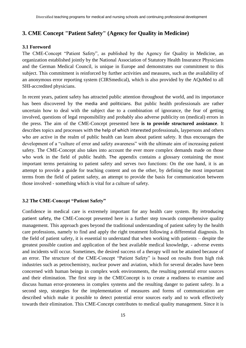# **3. CME Concept "Patient Safety" (Agency for Quality in Medicine)**

#### **3.1 Foreword**

The CME-Concept "Patient Safety", as published by the Agency for Quality in Medicine, an organization established jointly by the National Association of Statutory Health Insurance Physicians and the German Medical Council, is unique in Europe and demonstrates our commitment to this subject. This commitment is reinforced by further activities and measures, such as the availability of an anonymous error reporting system (CIRSmedical), which is also provided by the AQuMed to all SHI-accredited physicians.

In recent years, patient safety has attracted public attention throughout the world, and its importance has been discovered by the media and politicians. But public health professionals are rather uncertain how to deal with the subject due to a combination of ignorance, the fear of getting involved, questions of legal responsibility and probably also adverse publicity on (medical) errors in the press. The aim of the CME-Concept presented here **is to provide structured assistance**. It describes topics and processes with the help of which interested professionals, laypersons and others who are active in the realm of public health can learn about patient safety. It thus encourages the development of a "culture of error and safety awareness" with the ultimate aim of increasing patient safety. The CME-Concept also takes into account the ever more complex demands made on those who work in the field of public health. The appendix contains a glossary containing the most important terms pertaining to patient safety and serves two functions: On the one hand, it is an attempt to provide a guide for teaching content and on the other, by defining the most important terms from the field of patient safety, an attempt to provide the basis for communication between those involved - something which is vital for a culture of safety.

#### **3.2 The CME-Concept "Patient Safety"**

Confidence in medical care is extremely important for any health care system. By introducing patient safety, the CME-Concept presented here is a further step towards comprehensive quality management. This approach goes beyond the traditional understanding of patient safety by the health care professions, namely to find and apply the right treatment following a differential diagnosis. In the field of patient safety, it is essential to understand that when working with patients – despite the greatest possible caution and application of the best available medical knowledge, - adverse events and incidents will occur. Sometimes, the desired success of a therapy will not be attained because of an error. The structure of the CME-Concept "Patient Safety" is based on results from high risk industries such as petrochemistry, nuclear power and aviation, which for several decades have been concerned with human beings in complex work environments, the resulting potential error sources and their elimination. The first step in the CMEConcept is to create a readiness to examine and discuss human error-proneness in complex systems and the resulting danger to patient safety. In a second step, strategies for the implementation of measures and forms of communication are described which make it possible to detect potential error sources early and to work effectively towards their elimination. This CME-Concept contributes to medical quality management. Since it is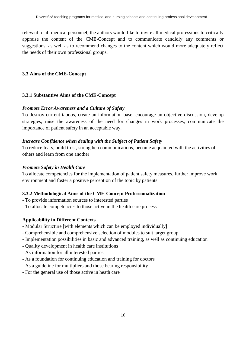relevant to all medical personnel, the authors would like to invite all medical professions to critically appraise the content of the CME-Concept and to communicate candidly any comments or suggestions, as well as to recommend changes to the content which would more adequately reflect the needs of their own professional groups.

# **3.3 Aims of the CME-Concept**

# **3.3.1 Substantive Aims of the CME-Concept**

# *Promote Error Awareness and a Culture of Safety*

To destroy current taboos, create an information base, encourage an objective discussion, develop strategies, raise the awareness of the need for changes in work processes, communicate the importance of patient safety in an acceptable way.

# *Increase Confidence when dealing with the Subject of Patient Safety*

To reduce fears, build trust, strengthen communications, become acquainted with the activities of others and learn from one another

#### *Promote Safety in Health Care*

To allocate competencies for the implementation of patient safety measures, further improve work environment and foster a positive perception of the topic by patients

# **3.3.2 Methodological Aims of the CME-Concept Professionalization**

- To provide information sources to interested parties
- To allocate competencies to those active in the health care process

# **Applicability in Different Contexts**

- Modular Structure [with elements which can be employed individually]
- Comprehensible and comprehensive selection of modules to suit target group
- Implementation possibilities in basic and advanced training, as well as continuing education
- Quality development in health care institutions
- As information for all interested parties
- As a foundation for continuing education and training for doctors
- As a guideline for multipliers and those bearing responsibility
- For the general use of those active in heath care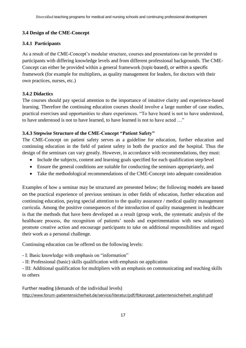# **3.4 Design of the CME-Concept**

# **3.4.1 Participants**

As a result of the CME-Concept's modular structure, courses and presentations can be provided to participants with differing knowledge levels and from different professional backgrounds. The CME-Concept can either be provided within a general framework (topic-based), or within a specific framework (for example for multipliers, as quality management for leaders, for doctors with their own practices, nurses, etc.)

# **3.4.2 Didactics**

The courses should pay special attention to the importance of intuitive clarity and experience-based learning. Therefore the continuing education courses should involve a large number of case studies, practical exercises and opportunities to share experiences. "To have heard is not to have understood, to have understood is not to have learned, to have learned is not to have acted …"

# **3.4.3 Stepwise Structure of the CME-Concept "Patient Safety"**

The CME-Concept on patient safety serves as a guideline for education, further education and continuing education in the field of patient safety in both the practice and the hospital. Thus the design of the seminars can vary greatly. However, in accordance with recommendations, they must:

- Include the subjects, content and learning goals specified for each qualification step/level
- Ensure the general conditions are suitable for conducting the seminars appropriately, and
- Take the methodological recommendations of the CME-Concept into adequate consideration

Examples of how a seminar may be structured are presented below; the following models are based on the practical experience of previous seminars in other fields of education, further education and continuing education, paying special attention to the quality assurance / medical quality management curricula. Among the positive consequences of the introduction of quality management in healthcare is that the methods that have been developed as a result (group work, the systematic analysis of the healthcare process, the recognition of patients' needs and experimentation with new solutions) promote creative action and encourage participants to take on additional responsibilities and regard their work as a personal challenge.

Continuing education can be offered on the following levels:

- I: Basic knowledge with emphasis on "information"

- II: Professional (basic) skills qualification with emphasis on application

- III: Additional qualification for multipliers with an emphasis on communicating and teaching skills to others

Further reading (demands of the individual levels) http://www.forum-patientensicherheit.de/service/literatur/pdf/fbkonzept\_patientensicherheit\_english.pdf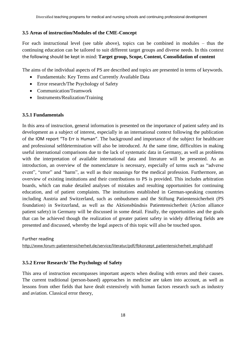#### **3.5 Areas of instruction/Modules of the CME-Concept**

For each instructional level (see table above), topics can be combined in modules – thus the continuing education can be tailored to suit different target groups and diverse needs. In this context the following should be kept in mind: **Target group, Scope, Content, Consolidation of content**

The aims of the individual aspects of PS are described and topics are presented in terms of keywords.

- Fundamentals: Key Terms and Currently Available Data
- Error research/The Psychology of Safety
- Communication/Teamwork
- Instruments/Realization/Training

#### **3.5.1 Fundamentals**

In this area of instruction, general information is presented on the importance of patient safety and its development as a subject of interest, especially in an international context following the publication of the IOM report "To Err is Human". The background and importance of the subject for healthcare and professional selfdetermination will also be introduced. At the same time, difficulties in making useful international comparisons due to the lack of systematic data in Germany, as well as problems with the interpretation of available international data and literature will be presented. As an introduction, an overview of the nomenclature is necessary, especially of terms such as "adverse event", "error" and "harm", as well as their meanings for the medical profession. Furthermore, an overview of existing institutions and their contributions to PS is provided. This includes arbitration boards, which can make detailed analyses of mistakes and resulting opportunities for continuing education, and of patient complaints. The institutions established in German-speaking countries including Austria and Switzerland, such as ombudsmen and the Stiftung Patientensicherheit (PS foundation) in Switzerland, as well as the Aktionsbündnis Patientensicherheit (Action alliance patient safety) in Germany will be discussed in some detail. Finally, the opportunities and the goals that can be achieved though the realization of greater patient safety in widely differing fields are presented and discussed, whereby the legal aspects of this topic will also be touched upon.

Further reading

http://www.forum-patientensicherheit.de/service/literatur/pdf/fbkonzept\_patientensicherheit\_english.pdf

#### **3.5.2 Error Research/ The Psychology of Safety**

This area of instruction encompasses important aspects when dealing with errors and their causes. The current traditional (person-based) approaches in medicine are taken into account, as well as lessons from other fields that have dealt extensively with human factors research such as industry and aviation. Classical error theory,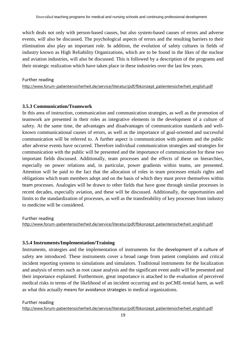which deals not only with person-based causes, but also system-based causes of errors and adverse events, will also be discussed. The psychological aspects of errors and the resulting barriers to their elimination also play an important role. In addition, the evolution of safety cultures in fields of industry known as High Reliability Organizations, which are to be found in the likes of the nuclear and aviation industries, will also be discussed. This is followed by a description of the programs and their strategic realization which have taken place in these industries over the last few years.

#### Further reading

http://www.forum-patientensicherheit.de/service/literatur/pdf/fbkonzept\_patientensicherheit\_english.pdf

#### **3.5.3 Communication/Teamwork**

In this area of instruction, communication and communication strategies, as well as the promotion of teamwork are presented in their roles as integrative elements in the development of a culture of safety. At the same time, the advantages and disadvantages of communication standards and wellknown communicational causes of errors, as well as the importance of goal-oriented and successful communication will be referred to. A further aspect is communication with patients and the public after adverse events have occurred. Therefore individual communication strategies and strategies for communication with the public will be presented and the importance of communication for these two important fields discussed. Additionally, team processes and the effects of these on hierarchies, especially on power relations and, in particular, power gradients within teams, are presented. Attention will be paid to the fact that the allocation of roles in team processes entails rights and obligations which team members adopt and on the basis of which they must prove themselves within team processes. Analogies will be drawn to other fields that have gone through similar processes in recent decades, especially aviation, and these will be discussed. Additionally, the opportunities and limits to the standardization of processes, as well as the transferability of key processes from industry to medicine will be considered.

#### Further reading

http://www.forum-patientensicherheit.de/service/literatur/pdf/fbkonzept\_patientensicherheit\_english.pdf

#### **3.5.4 Instruments/Implementation/Training**

Instruments, strategies and the implementation of instruments for the development of a culture of safety are introduced. These instruments cover a broad range from patient complaints and critical incident reporting systems to simulations and simulators. Traditional instruments for the localization and analysis of errors such as root cause analysis and the significant event audit will be presented and their importance explained. Furthermore, great importance is attached to the evaluation of perceived medical risks in terms of the likelihood of an incident occurring and its poCME-tential harm, as well as what this actually means for avoidance strategies in medical organizations.

#### Further reading

http://www.forum-patientensicherheit.de/service/literatur/pdf/fbkonzept\_patientensicherheit\_english.pdf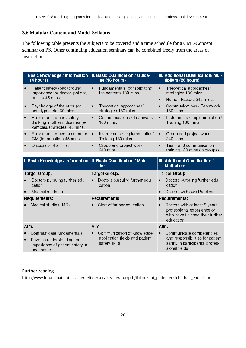# **3.6 Modular Content and Model Syllabus**

The following table presents the subjects to be covered and a time schedule for a CME-Concept seminar on PS. Other continuing education seminars can be combined freely from the areas of instruction.**.**

|           | (4 hours)                                                                                   | I. Basic knowledge / Information   II. Basic Qualification / Guide-<br>line (16 hours) | III. Additional Qualification/ Mul-<br>tipliers (20 hours)                                                  |
|-----------|---------------------------------------------------------------------------------------------|----------------------------------------------------------------------------------------|-------------------------------------------------------------------------------------------------------------|
|           | Patient safety (background,<br>importance for doctor, patient,<br>public) 45 mins.          | Fundamentals (consolidating<br>the content) 180 mins.                                  | Theoretical approaches/<br>strategies 180 mins.                                                             |
|           |                                                                                             |                                                                                        | Human Factors 240 mins.                                                                                     |
| $\bullet$ | Psychology of the error (cau-<br>ses, types etc) 60 mins.                                   | Theoretical approaches/<br>$\bullet$<br>strategies 180 mins.                           | Communications / Teamwork<br>180 mins.                                                                      |
| $\bullet$ | Error management/safety<br>thinking in other industries (e-<br>xamples/strategies) 45 mins. | Communications / Teamwork<br>$\bullet$<br>180 mins.                                    | Instruments / Implementation /<br>$\bullet$<br>Training 180 mins.                                           |
| ٠         | Error management as a part of $\bullet$<br>QM (introduction) 45 mins.                       | Instruments / Implementation/<br>Training 180 mins.                                    | Group and project work<br>240 mins.                                                                         |
|           | Discussion 45 mins.                                                                         | Group and project work<br>240 mins.                                                    | Team and communication<br>training 180 mins (in groups).                                                    |
|           |                                                                                             |                                                                                        |                                                                                                             |
|           | I. Basic Knowledge / Information   II. Basic Qualification / Main                           | Idea                                                                                   | III. Additional Qualification /<br><b>Multipliers</b>                                                       |
|           | <b>Target Group:</b>                                                                        | <b>Target Group:</b>                                                                   | <b>Target Group:</b>                                                                                        |
|           | Doctors pursuing further edu-<br>cation                                                     | Doctors pursuing further edu-<br>cation                                                | Doctors pursuing further edu-<br>cation                                                                     |
|           | Medical students                                                                            |                                                                                        | Doctors with own Practice                                                                                   |
|           | Requirements:                                                                               | Requirements:                                                                          | Requirements:                                                                                               |
|           | Medical studies (MD)                                                                        | Start of further education                                                             | Doctors with at least 5 years<br>professional experience or<br>who have finished their further<br>education |
| Aim:      |                                                                                             | Aim:                                                                                   | Aim:                                                                                                        |
| $\bullet$ | Communicate fundamentals<br>Develop understanding for<br>importance of patient safety in    | Communication of knowledge,<br>application fields and patient<br>safety skills         | Communicate competencies<br>and responsibilities for patient<br>safety in participants' profes-             |

# Further reading

http://www.forum-patientensicherheit.de/service/literatur/pdf/fbkonzept\_patientensicherheit\_english.pdf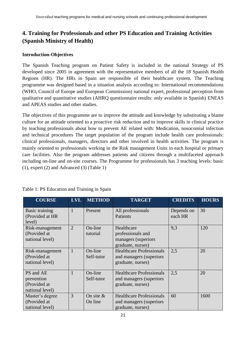# **4. Training for Professionals and other PS Education and Training Activities (Spanish Ministry of Health)**

# **Introduction-Objectives**

The Spanish Teaching program on Patient Safety is included in the national Strategy of PS developed since 2005 in agreement with the representative members of all the 18 Spanish Health Regions (HR). The HRs in Spain are responsible of their healthcare system. The Teaching programme was designed based in a situation analysis according to: International recommendations (WHO, Council of Europe and European Commission) national expert, professional perception from qualitative and quantitative studies (AHRQ questionnaire results: only available in Spanish) ENEAS and APEAS studies and other studies.

The objectives of this programme are to improve the attitude and knowledge by substituting a blame culture for an attitude oriented to a proactive risk reduction and to improve skills in clinical practice by teaching professionals about how to prevent AE related with: Medication, nosocomial infection and technical procedures The target population of the program include health care professionals: clinical professionals, managers, directors and other involved in health activities. The program is mainly oriented to professionals working in the Risk management Units in each hospital or primary care facilities. Also the program addresses patients and citizens through a multifaceted approach including on-line and on-site courses. The Programme for professionals has 3 teaching levels: basic (1), expert (2) and Advanced (3) (Table 1)

| <b>COURSE</b>                                              | <b>LVL</b>     | <b>METHOD</b>           | <b>TARGET</b>                                                                    | <b>CREDITS</b>        | <b>HOURS</b> |
|------------------------------------------------------------|----------------|-------------------------|----------------------------------------------------------------------------------|-----------------------|--------------|
| <b>Basic training</b><br>(Provided at HR<br>level)         | $\mathbf{1}$   | Present                 | All professionals<br>Patients                                                    | Depends on<br>each HR | 30           |
| Risk-management<br>(Provided at<br>national level)         | $\overline{2}$ | On-line<br>tutorial     | Healthcare<br>professionals and<br>managers (superiors<br>graduate, nurses)      | 9,3                   | 120          |
| Risk-management<br>(Provided at<br>national level)         | $\mathbf{1}$   | On-line<br>Self-tutor   | <b>Healthcare Professionals</b><br>and managers (superiors)<br>graduate, nurses) | 2,5                   | 20           |
| PS and AE<br>prevention<br>(Provided at<br>national level) | $\mathbf{1}$   | On-line<br>Self-tutor   | <b>Healthcare Professionals</b><br>and managers (superiors<br>graduate, nurses)  | 2,5                   | 20           |
| Master's degree<br>(Provided at<br>national level)         | 3              | On site $\&$<br>On line | <b>Healthcare Professionals</b><br>and managers (superiors<br>graduate, nurses)  | 60                    | 1600         |

Table 1: PS Education and Training in Spain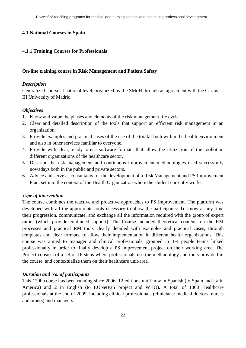#### **4.1 National Courses in Spain**

#### **4.1.1 Training Courses for Professionals**

#### **On-line training course in Risk Management and Patient Safety**

#### *Description*

Centralized course at national level, organized by the SMoH through an agreement with the Carlos III University of Madrid

#### *Objectives*

- 1. Know and value the phases and elements of the risk management life cycle.
- 2. Clear and detailed description of the tools that support an efficient risk management in an organization.
- 3. Provide examples and practical cases of the use of the toolkit both within the health environment and also in other services familiar to everyone.
- 4. Provide with clear, ready-to-use software formats that allow the utilization of the toolkit in different organizations of the healthcare sector.
- 5. Describe the risk management and continuous improvement methodologies used successfully nowadays both in the public and private sectors.
- 6. Advice and serve as consultants for the development of a Risk Management and PS Improvement Plan, set into the context of the Health Organization where the student currently works.

#### *Type of intervention*

The course combines the reactive and proactive approaches to PS Improvement. The platform was developed with all the appropriate tools necessary to allow the participants: To know at any time their progression, communicate, and exchange all the information required with the group of expert tutors (which provide continued support). The Course included theoretical contents on the RM processes and practical RM tools clearly detailed with examples and practical cases, through templates and clear formats, to allow their implementation in different health organizations. This course was aimed to manager and clinical professionals, grouped in 3-4 people teams linked professionally in order to finally develop a PS improvement project on their working area. The Project consists of a set of 16 steps where professionals use the methodology and tools provided in the course, and contextualize them on their healthcare unit/area.

#### *Duration and No. of participants*

This 120h course has been running since 2006: 12 editions until now in Spanish (to Spain and Latin America) and 2 in English (to EUNetPaS project and WHO). A total of 1000 Healthcare professionals at the end of 2009, including clinical professionals (clinicians: medical doctors, nurses and others) and managers.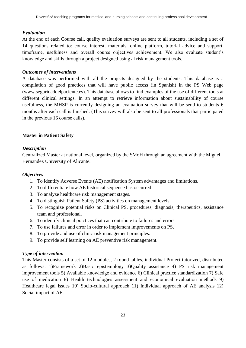### *Evaluation*

At the end of each Course call, quality evaluation surveys are sent to all students, including a set of 14 questions related to: course interest, materials, online platform, tutorial advice and support, timeframe, usefulness and overall course objectives achievement. We also evaluate student's knowledge and skills through a project designed using al risk management tools.

# *Outcomes of interventions*

A database was performed with all the projects designed by the students. This database is a compilation of good practices that will have public access (in Spanish) in the PS Web page [\(www.seguridaddelpaciente.es\)](http://www.seguridaddelpaciente.es/). This database allows to find examples of the use of different tools at different clinical settings. In an attempt to retrieve information about sustainability of course usefulness, the MHSP is currently designing an evaluation survey that will be send to students 6 months after each call is finished. (This survey will also be sent to all professionals that participated in the previous 16 course calls).

# **Master in Patient Safety**

# *Description*

Centralized Master at national level, organized by the SMoH through an agreement with the Miguel Hernandez University of Alicante.

#### *Objectives*

- 1. To identify Adverse Events (AE) notification System advantages and limitations.
- 2. To differentiate how AE historical sequence has occurred.
- 3. To analyze healthcare risk management stages.
- 4. To distinguish Patient Safety (PS) activities on management levels.
- 5. To recognize potential risks on Clinical PS, procedures, diagnosis, therapeutics, assistance team and professional.
- 6. To identify clinical practices that can contribute to failures and errors
- 7. To use failures and error in order to implement improvements on PS.
- 8. To provide and use of clinic risk management principles.
- 9. To provide self learning on AE preventive risk management.

# *Type of intervention*

This Master consists of a set of 12 modules, 2 round tables, individual Project tutorized, distributed as follows: 1)Framework 2)Basic epistemology 3)Quality assistance 4) PS risk management improvement tools 5) Available knowledge and evidence 6) Clinical practice standardization 7) Safe use of medication 8) Health technologies assessment and economical evaluation methods 9) Healthcare legal issues 10) Socio-cultural approach 11) Individual approach of AE analysis 12) Social impact of AE.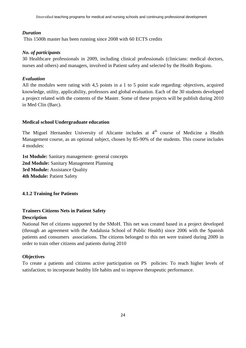# *Duration*

This 1500h master has been running since 2008 with 60 ECTS credits

# *No. of participants*

30 Healthcare professionals in 2009, including clinical professionals (clinicians: medical doctors, nurses and others) and managers, involved in Patient safety and selected by the Health Regions.

# *Evaluation*

All the modules were rating with 4,5 points in a 1 to 5 point scale regarding: objectives, acquired knowledge, utility, applicability, professors and global evaluation. Each of the 30 students developed a project related with the contents of the Master. Some of these projects will be publish during 2010 in Med Clin (Barc).

# **Medical school Undergraduate education**

The Miguel Hernandez University of Alicante includes at 4<sup>th</sup> course of Medicine a Health Management course, as an optional subject, chosen by 85-90% of the students. This course includes 4 modules:

**1st Module:** Sanitary management- general concepts **2nd Module:** Sanitary Management Planning **3rd Module:** Assistance Quality **4th Module:** Patient Safety

# **4.1.2 Training for Patients**

# **Trainers Citizens Nets in Patient Safety Description**

National Net of citizens supported by the SMoH. This net was created based in a project developed (through an agreement with the Andalusia School of Public Health) since 2006 with the Spanish patients and consumers associations. The citizens belonged to this net were trained during 2009 in order to train other citizens and patients during 2010

# **Objectives**

To create a patients and citizens active participation on PS policies: To reach higher levels of satisfaction; to incorporate healthy life habits and to improve therapeutic performance.